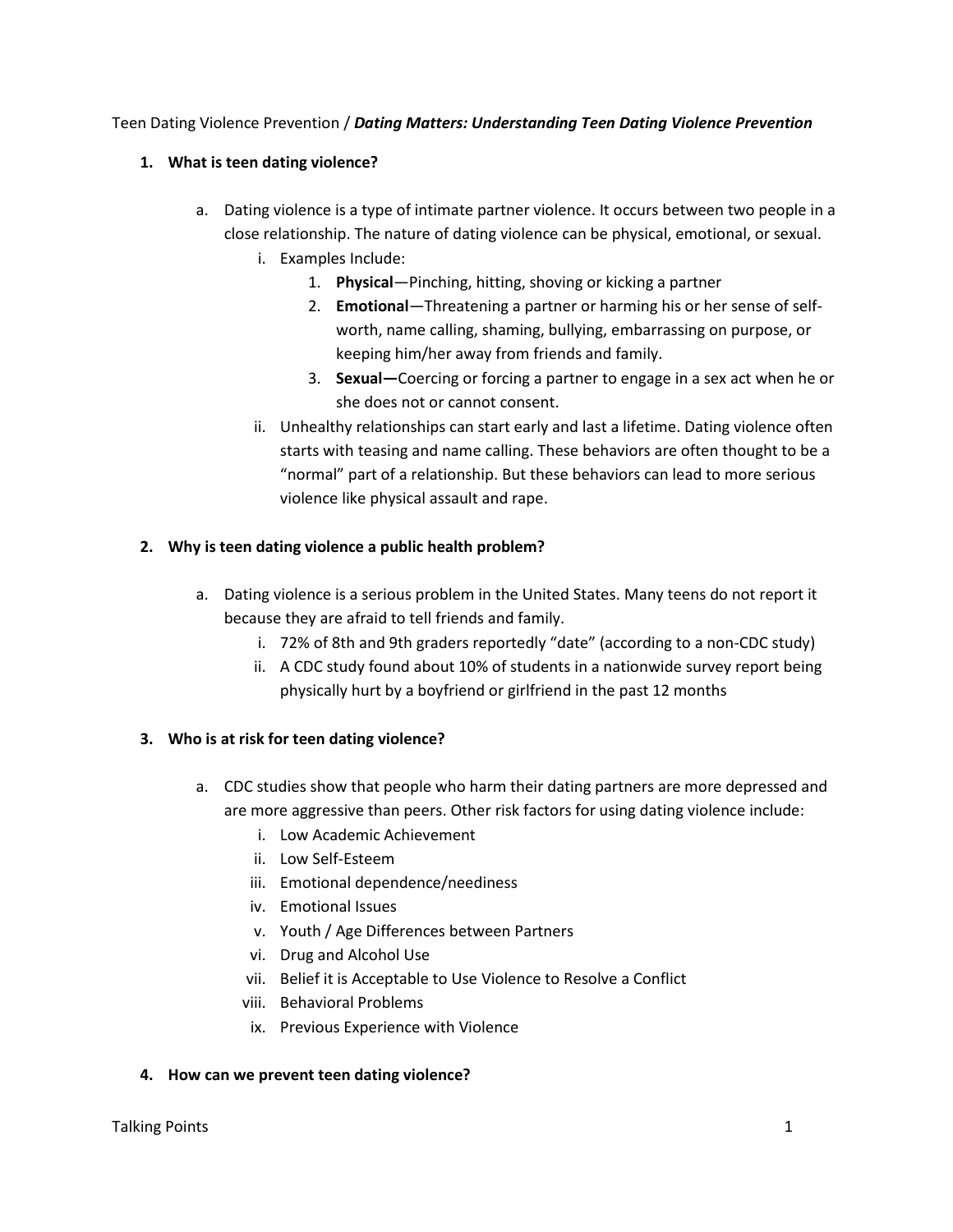### Teen Dating Violence Prevention / *Dating Matters: Understanding Teen Dating Violence Prevention*

# **1. What is teen dating violence?**

- a. Dating violence is a type of intimate partner violence. It occurs between two people in a close relationship. The nature of dating violence can be physical, emotional, or sexual.
	- i. Examples Include:
		- 1. **Physical**—Pinching, hitting, shoving or kicking a partner
		- 2. **Emotional**—Threatening a partner or harming his or her sense of selfworth, name calling, shaming, bullying, embarrassing on purpose, or keeping him/her away from friends and family.
		- 3. **Sexual—**Coercing or forcing a partner to engage in a sex act when he or she does not or cannot consent.
	- ii. Unhealthy relationships can start early and last a lifetime. Dating violence often starts with teasing and name calling. These behaviors are often thought to be a "normal" part of a relationship. But these behaviors can lead to more serious violence like physical assault and rape.

# **2. Why is teen dating violence a public health problem?**

- a. Dating violence is a serious problem in the United States. Many teens do not report it because they are afraid to tell friends and family.
	- i. 72% of 8th and 9th graders reportedly "date" (according to a non-CDC study)
	- ii. A CDC study found about 10% of students in a nationwide survey report being physically hurt by a boyfriend or girlfriend in the past 12 months

# **3. Who is at risk for teen dating violence?**

- a. CDC studies show that people who harm their dating partners are more depressed and are more aggressive than peers. Other risk factors for using dating violence include:
	- i. Low Academic Achievement
	- ii. Low Self-Esteem
	- iii. Emotional dependence/neediness
	- iv. Emotional Issues
	- v. Youth / Age Differences between Partners
	- vi. Drug and Alcohol Use
	- vii. Belief it is Acceptable to Use Violence to Resolve a Conflict
	- viii. Behavioral Problems
	- ix. Previous Experience with Violence

### **4. How can we prevent teen dating violence?**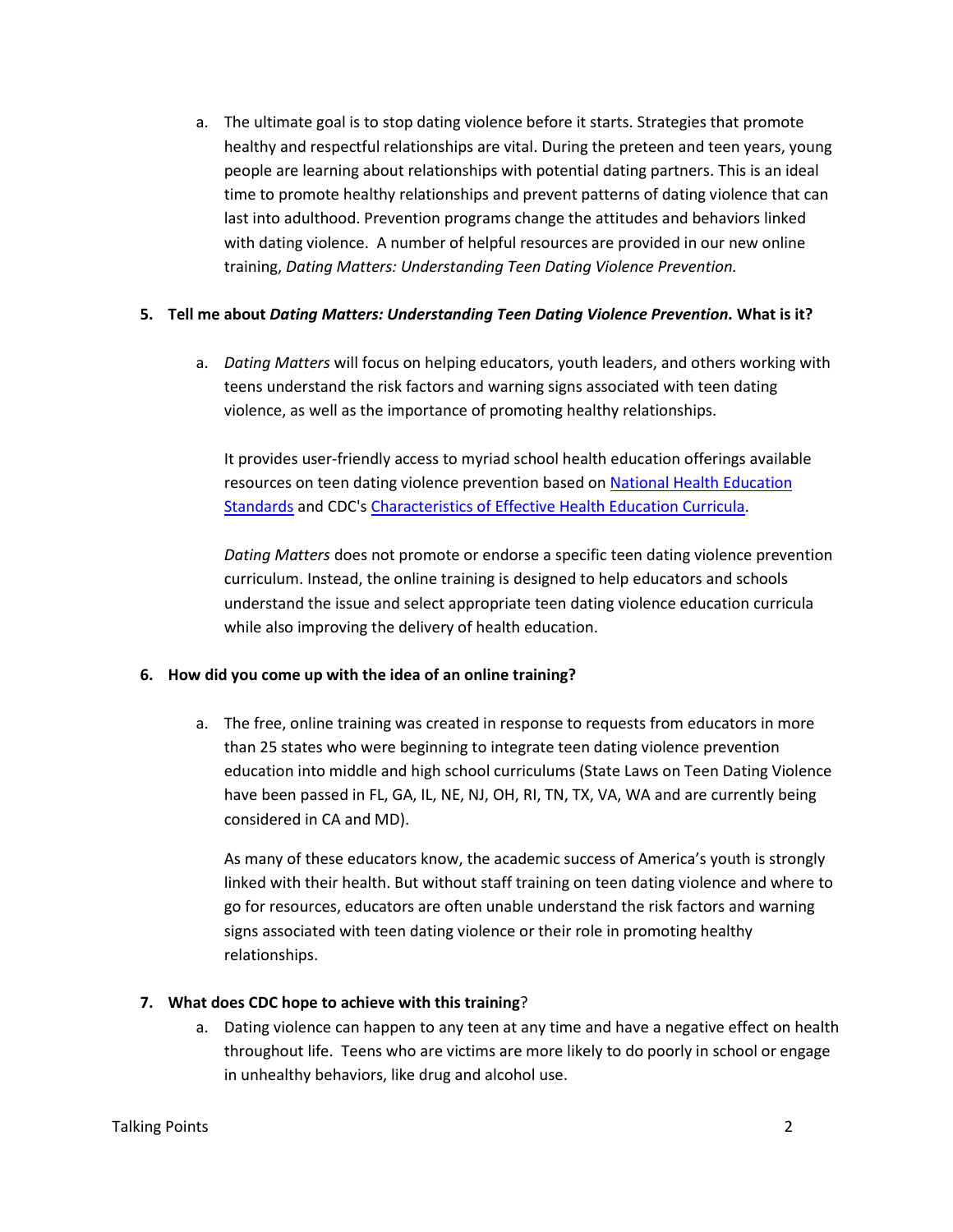a. The ultimate goal is to stop dating violence before it starts. Strategies that promote healthy and respectful relationships are vital. During the preteen and teen years, young people are learning about relationships with potential dating partners. This is an ideal time to promote healthy relationships and prevent patterns of dating violence that can last into adulthood. Prevention programs change the attitudes and behaviors linked with dating violence. A number of helpful resources are provided in our new online training, *Dating Matters: Understanding Teen Dating Violence Prevention.*

### **5. Tell me about** *Dating Matters: Understanding Teen Dating Violence Prevention.* **What is it?**

a. *Dating Matters* will focus on helping educators, youth leaders, and others working with teens understand the risk factors and warning signs associated with teen dating violence, as well as the importance of promoting healthy relationships.

It provides user-friendly access to myriad school health education offerings available resources on teen dating violence prevention based on [National Health Education](http://www.cdc.gov/HealthyYouth/SHER/standards/index.htm)  [Standards](http://www.cdc.gov/HealthyYouth/SHER/standards/index.htm) and CDC's [Characteristics of Effective Health Education Curricula.](http://www.cdc.gov/HealthyYouth/SHER/characteristics/index.htm)

*Dating Matters* does not promote or endorse a specific teen dating violence prevention curriculum. Instead, the online training is designed to help educators and schools understand the issue and select appropriate teen dating violence education curricula while also improving the delivery of health education.

# **6. How did you come up with the idea of an online training?**

a. The free, online training was created in response to requests from educators in more than 25 states who were beginning to integrate teen dating violence prevention education into middle and high school curriculums (State Laws on Teen Dating Violence have been passed in FL, GA, IL, NE, NJ, OH, RI, TN, TX, VA, WA and are currently being considered in CA and MD).

As many of these educators know, the academic success of America's youth is strongly linked with their health. But without staff training on teen dating violence and where to go for resources, educators are often unable understand the risk factors and warning signs associated with teen dating violence or their role in promoting healthy relationships.

# **7. What does CDC hope to achieve with this training**?

a. Dating violence can happen to any teen at any time and have a negative effect on health throughout life. Teens who are victims are more likely to do poorly in school or engage in unhealthy behaviors, like drug and alcohol use.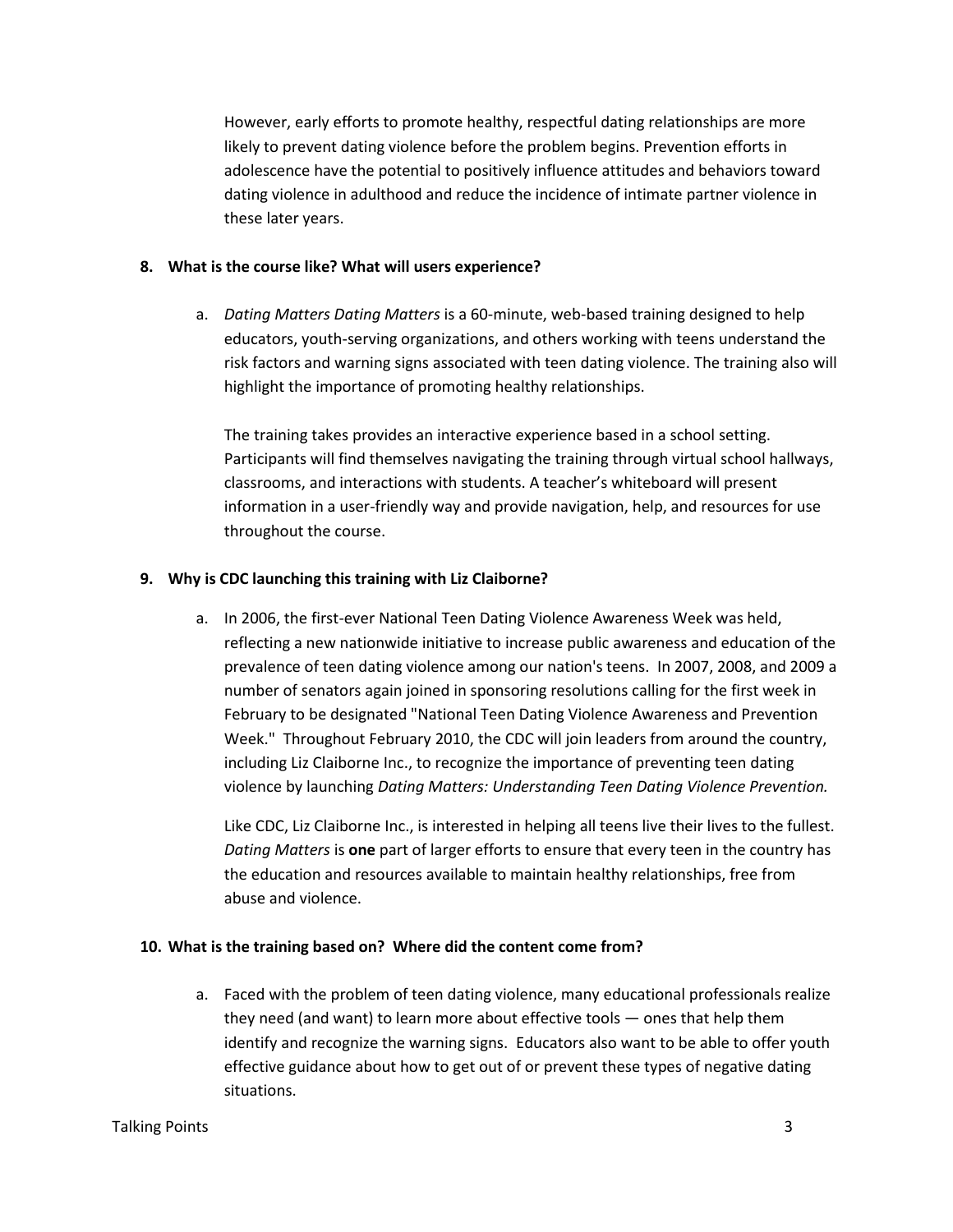However, early efforts to promote healthy, respectful dating relationships are more likely to prevent dating violence before the problem begins. Prevention efforts in adolescence have the potential to positively influence attitudes and behaviors toward dating violence in adulthood and reduce the incidence of intimate partner violence in these later years.

### **8. What is the course like? What will users experience?**

a. *Dating Matters Dating Matters* is a 60-minute, web-based training designed to help educators, youth-serving organizations, and others working with teens understand the risk factors and warning signs associated with teen dating violence. The training also will highlight the importance of promoting healthy relationships.

The training takes provides an interactive experience based in a school setting. Participants will find themselves navigating the training through virtual school hallways, classrooms, and interactions with students. A teacher's whiteboard will present information in a user-friendly way and provide navigation, help, and resources for use throughout the course.

### **9. Why is CDC launching this training with Liz Claiborne?**

a. In 2006, the first-ever National Teen Dating Violence Awareness Week was held, reflecting a new nationwide initiative to increase public awareness and education of the prevalence of teen dating violence among our nation's teens. In 2007, 2008, and 2009 a number of senators again joined in sponsoring resolutions calling for the first week in February to be designated "National Teen Dating Violence Awareness and Prevention Week." Throughout February 2010, the CDC will join leaders from around the country, including Liz Claiborne Inc., to recognize the importance of preventing teen dating violence by launching *Dating Matters: Understanding Teen Dating Violence Prevention.*

Like CDC, Liz Claiborne Inc., is interested in helping all teens live their lives to the fullest. *Dating Matters* is **one** part of larger efforts to ensure that every teen in the country has the education and resources available to maintain healthy relationships, free from abuse and violence.

### **10. What is the training based on? Where did the content come from?**

a. Faced with the problem of teen dating violence, many educational professionals realize they need (and want) to learn more about effective tools — ones that help them identify and recognize the warning signs. Educators also want to be able to offer youth effective guidance about how to get out of or prevent these types of negative dating situations.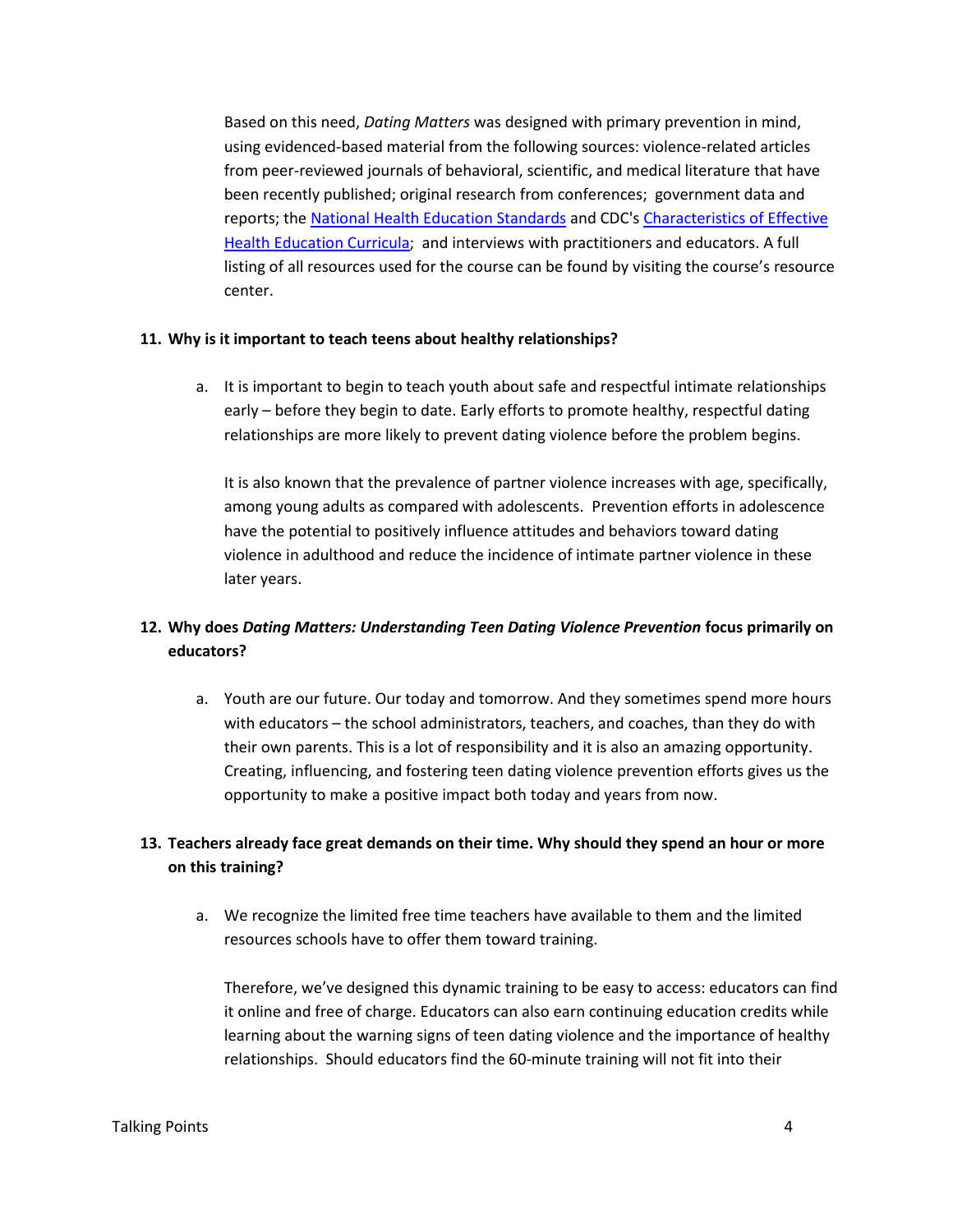Based on this need, *Dating Matters* was designed with primary prevention in mind, using evidenced-based material from the following sources: violence-related articles from peer-reviewed journals of behavioral, scientific, and medical literature that have been recently published; original research from conferences; government data and reports; th[e National Health Education Standards](http://www.cdc.gov/HealthyYouth/SHER/standards/index.htm) and CDC'[s Characteristics of Effective](http://www.cdc.gov/HealthyYouth/SHER/characteristics/index.htm)  [Health Education Curricula;](http://www.cdc.gov/HealthyYouth/SHER/characteristics/index.htm) and interviews with practitioners and educators. A full listing of all resources used for the course can be found by visiting the course's resource center.

#### **11. Why is it important to teach teens about healthy relationships?**

a. It is important to begin to teach youth about safe and respectful intimate relationships early – before they begin to date. Early efforts to promote healthy, respectful dating relationships are more likely to prevent dating violence before the problem begins.

It is also known that the prevalence of partner violence increases with age, specifically, among young adults as compared with adolescents. Prevention efforts in adolescence have the potential to positively influence attitudes and behaviors toward dating violence in adulthood and reduce the incidence of intimate partner violence in these later years.

# **12. Why does** *Dating Matters: Understanding Teen Dating Violence Prevention* **focus primarily on educators?**

a. Youth are our future. Our today and tomorrow. And they sometimes spend more hours with educators – the school administrators, teachers, and coaches, than they do with their own parents. This is a lot of responsibility and it is also an amazing opportunity. Creating, influencing, and fostering teen dating violence prevention efforts gives us the opportunity to make a positive impact both today and years from now.

# **13. Teachers already face great demands on their time. Why should they spend an hour or more on this training?**

a. We recognize the limited free time teachers have available to them and the limited resources schools have to offer them toward training.

Therefore, we've designed this dynamic training to be easy to access: educators can find it online and free of charge. Educators can also earn continuing education credits while learning about the warning signs of teen dating violence and the importance of healthy relationships. Should educators find the 60-minute training will not fit into their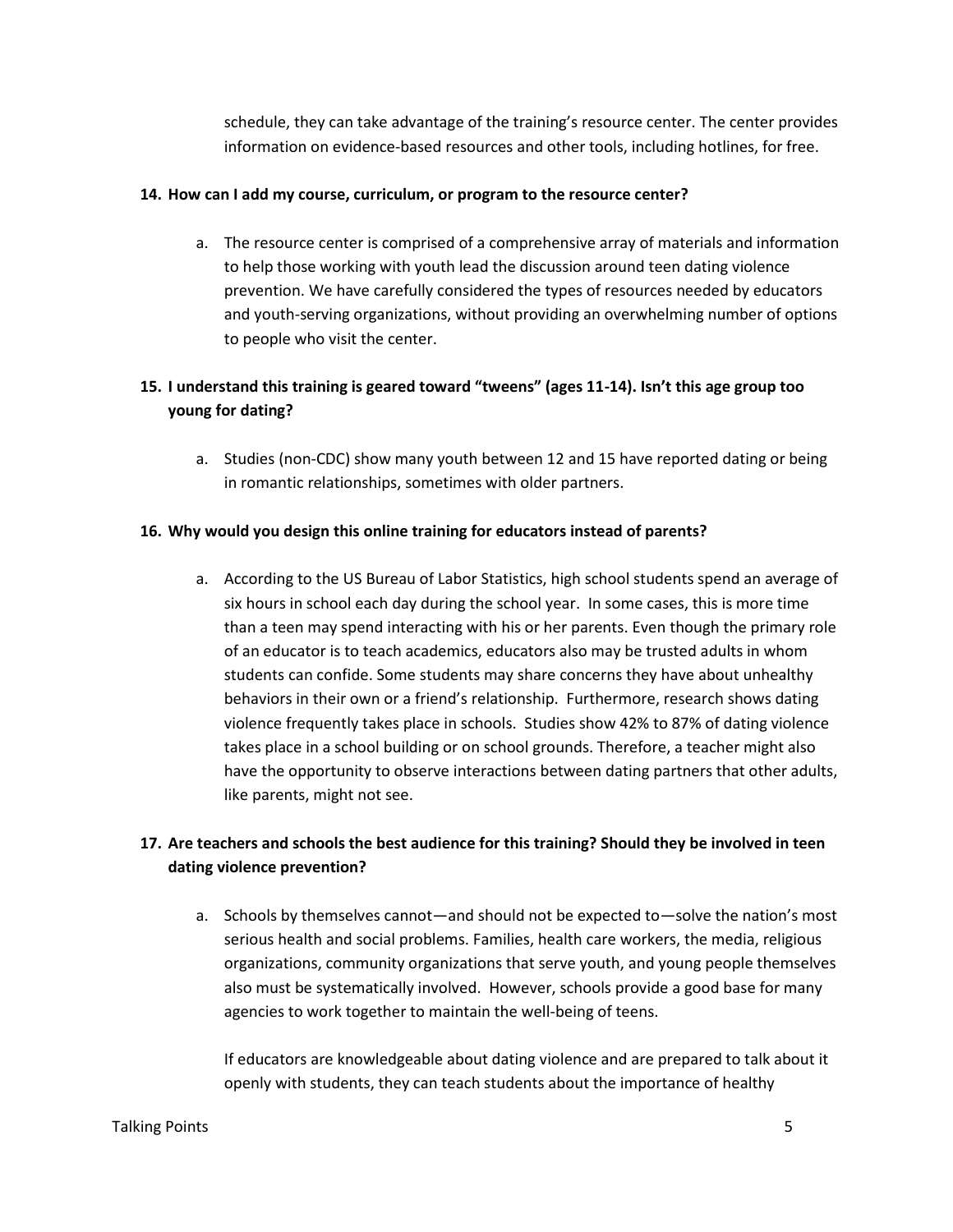schedule, they can take advantage of the training's resource center. The center provides information on evidence-based resources and other tools, including hotlines, for free.

### **14. How can I add my course, curriculum, or program to the resource center?**

a. The resource center is comprised of a comprehensive array of materials and information to help those working with youth lead the discussion around teen dating violence prevention. We have carefully considered the types of resources needed by educators and youth-serving organizations, without providing an overwhelming number of options to people who visit the center.

# **15. I understand this training is geared toward "tweens" (ages 11-14). Isn't this age group too young for dating?**

a. Studies (non-CDC) show many youth between 12 and 15 have reported dating or being in romantic relationships, sometimes with older partners.

### **16. Why would you design this online training for educators instead of parents?**

a. According to the US Bureau of Labor Statistics, high school students spend an average of six hours in school each day during the school year. In some cases, this is more time than a teen may spend interacting with his or her parents. Even though the primary role of an educator is to teach academics, educators also may be trusted adults in whom students can confide. Some students may share concerns they have about unhealthy behaviors in their own or a friend's relationship. Furthermore, research shows dating violence frequently takes place in schools. Studies show 42% to 87% of dating violence takes place in a school building or on school grounds. Therefore, a teacher might also have the opportunity to observe interactions between dating partners that other adults, like parents, might not see.

# **17. Are teachers and schools the best audience for this training? Should they be involved in teen dating violence prevention?**

a. Schools by themselves cannot—and should not be expected to—solve the nation's most serious health and social problems. Families, health care workers, the media, religious organizations, community organizations that serve youth, and young people themselves also must be systematically involved. However, schools provide a good base for many agencies to work together to maintain the well-being of teens.

If educators are knowledgeable about dating violence and are prepared to talk about it openly with students, they can teach students about the importance of healthy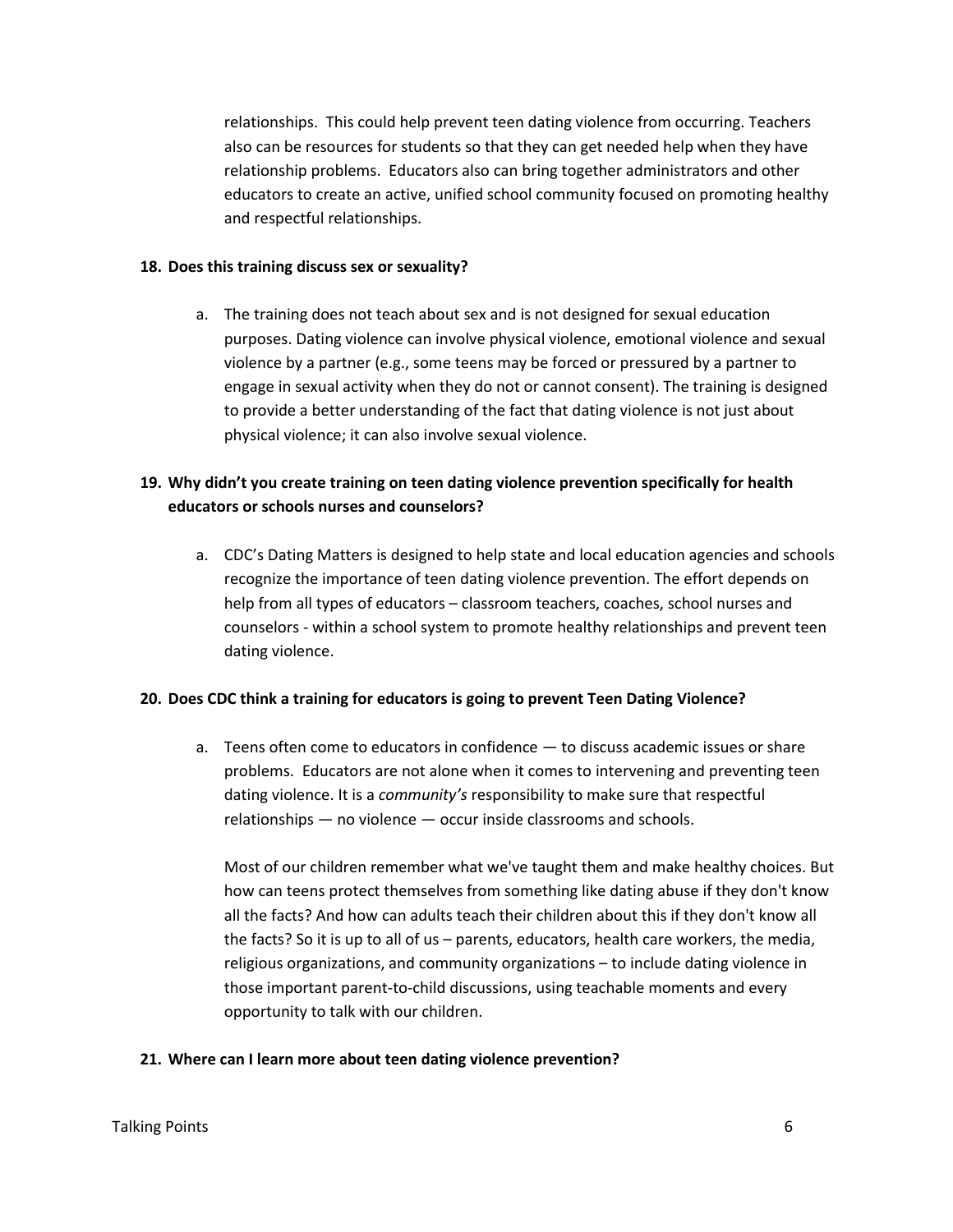relationships. This could help prevent teen dating violence from occurring. Teachers also can be resources for students so that they can get needed help when they have relationship problems. Educators also can bring together administrators and other educators to create an active, unified school community focused on promoting healthy and respectful relationships.

#### **18. Does this training discuss sex or sexuality?**

a. The training does not teach about sex and is not designed for sexual education purposes. Dating violence can involve physical violence, emotional violence and sexual violence by a partner (e.g., some teens may be forced or pressured by a partner to engage in sexual activity when they do not or cannot consent). The training is designed to provide a better understanding of the fact that dating violence is not just about physical violence; it can also involve sexual violence.

# **19. Why didn't you create training on teen dating violence prevention specifically for health educators or schools nurses and counselors?**

a. CDC's Dating Matters is designed to help state and local education agencies and schools recognize the importance of teen dating violence prevention. The effort depends on help from all types of educators – classroom teachers, coaches, school nurses and counselors - within a school system to promote healthy relationships and prevent teen dating violence.

### **20. Does CDC think a training for educators is going to prevent Teen Dating Violence?**

a. Teens often come to educators in confidence — to discuss academic issues or share problems. Educators are not alone when it comes to intervening and preventing teen dating violence. It is a *community's* responsibility to make sure that respectful relationships — no violence — occur inside classrooms and schools.

Most of our children remember what we've taught them and make healthy choices. But how can teens protect themselves from something like dating abuse if they don't know all the facts? And how can adults teach their children about this if they don't know all the facts? So it is up to all of us – parents, educators, health care workers, the media, religious organizations, and community organizations – to include dating violence in those important parent-to-child discussions, using teachable moments and every opportunity to talk with our children.

### **21. Where can I learn more about teen dating violence prevention?**